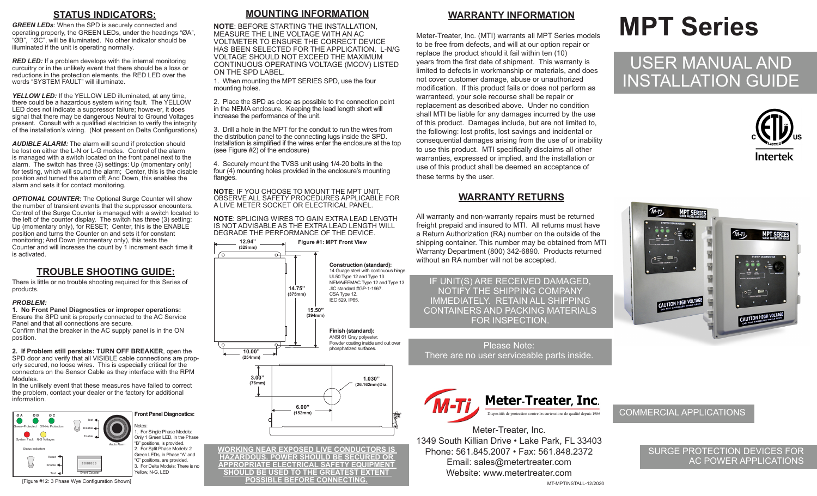# **STATUS INDICATORS:**

*GREEN LEDs*: When the SPD is securely connected and operating properly, the GREEN LEDs, under the headings "ØA", "ØB", "ØC", will be illuminated. No other indicator should be illuminated if the unit is operating normally.

*RED LED:* If a problem develops with the internal monitoring curcuitry or in the unlikely event that there should be a loss or reductions in the protection elements, the RED LED over the words "SYSTEM FAULT" will illuminate.

**YELLOW LED:** If the YELLOW LED illuminated, at any time, there could be a hazardous system wiring fault. The YELLOW LED does not indicate a suppressor failure; however, it does signal that there may be dangerous Neutral to Ground Voltages present. Consult with a qualified electrician to verify the integrity of the installation's wiring. (Not present on Delta Configurations)

*AUDIBLE ALARM:* The alarm will sound if protection should be lost on either the L-N or L-G modes. Control of the alarm is managed with a switch located on the front panel next to the alarm. The switch has three (3) settings: Up (momentary only) for testing, which will sound the alarm; Center, this is the disable position and turned the alarm off; And Down, this enables the alarm and sets it for contact monitoring.

*OPTIONAL COUNTER:* The Optional Surge Counter will show the number of transient events that the suppressor encounters. Control of the Surge Counter is managed with a switch located to the left of the counter display. The switch has three (3) setting: Up (momentary only), for RÉSET; Center, this is the ENABLE position and turns the Counter on and sets it for constant monitoring; And Down (momentary only), this tests the Counter and will increase the count by 1 increment each time it is activated.

## **TROUBLE SHOOTING GUIDE:**

There is little or no trouble shooting required for this Series of products.

### *PROBLEM:*

**1. No Front Panel Diagnostics or improper operations:** Ensure the SPD unit is properly connected to the AC Service Panel and that all connections are secure. Confirm that the breaker in the AC supply panel is in the ON

position.

**2. If Problem still persists: TURN OFF BREAKER**, open the SPD door and verify that all VISIBLE cable connections are properly secured, no loose wires. This is especially critical for the connectors on the Sensor Cable as they interface with the RPM Modules.

In the unlikely event that these measures have failed to correct the problem, contact your dealer or the factory for additional information.



# **MOUNTING INFORMATION**

**NOTE**: BEFORE STARTING THE INSTALLATION, MEASURE THE LINE VOLTAGE WITH AN AC VOLTMETER TO ENSURE THE CORRECT DEVICE HAS BEEN SELECTED FOR THE APPLICATION. L-N/G VOLTAGE SHOULD NOT EXCEED THE MAXIMUM CONTINUOUS OPERATING VOLTAGE (MCOV) LISTED ON THE SPD LABEL.

1. When mounting the MPT SERIES SPD, use the four mounting holes.

2. Place the SPD as close as possible to the connection point in the NEMA enclosure. Keeping the lead length short will increase the performance of the unit.

3. Drill a hole in the MPT for the conduit to run the wires from the distribution panel to the connecting lugs inside the SPD. Installation is simplified if the wires enter the enclosure at the top (see Figure #2) of the enclosure)

4. Securely mount the TVSS unit using 1/4-20 bolts in the four (4) mounting holes provided in the enclosure's mounting flanges.

**NOTE**: IF YOU CHOOSE TO MOUNT THE MPT UNIT, OBSERVE ALL SAFETY PROCEDURES APPLICABLE FOR A LIVE METER SOCKET OR ELECTRICAL PANEL.

**NOTE**: SPLICING WIRES TO GAIN EXTRA LEAD LENGTH IS NOT ADVISABLE AS THE EXTRA LEAD LENGTH WILL DEGRADE THE PERFORMANCE OF THE DEVICE.



**WORKING NEAR EXPOSED LIVE CONDUCTORS IS HAZARDOUS. POWER SHOULD BE SECURED OR APPROPRIATE ELECTRICAL SAFETY EQUIPMENT SHOULD BE USED TO THE GREATEST EXTENT POSSIBLE BEFORE CONNECTING.**

## **WARRANTY INFORMATION**

Meter-Treater, Inc. (MTI) warrants all MPT Series models to be free from defects, and will at our option repair or replace the product should it fail within ten (10) years from the first date of shipment. This warranty is limited to defects in workmanship or materials, and does not cover customer damage, abuse or unauthorized modification. If this product fails or does not perform as warranteed, your sole recourse shall be repair or replacement as described above. Under no condition shall MTI be liable for any damages incurred by the use of this product. Damages include, but are not limited to, the following: lost profits, lost savings and incidental or consequential damages arising from the use of or inability to use this product. MTI specifically disclaims all other warranties, expressed or implied, and the installation or use of this product shall be deemed an acceptance of these terms by the user.

# **WARRANTY RETURNS**

All warranty and non-warranty repairs must be returned freight prepaid and insured to MTI. All returns must have a Return Authorization (RA) number on the outside of the shipping container. This number may be obtained from MTI Warranty Department (800) 342-6890. Products returned without an RA number will not be accepted.

IF UNIT(S) ARE RECEIVED DAMAGED, NOTIFY THE SHIPPING COMPANY IMMEDIATELY. RETAIN ALL SHIPPING CONTAINERS AND PACKING MATERIALS FOR INSPECTION.

Please Note: There are no user serviceable parts inside.



Meter-Treater, Inc. 1349 South Killian Drive • Lake Park, FL 33403 Phone: 561.845.2007 • Fax: 561.848.2372 Email: sales@metertreater.com Website: www.metertreater.com

### MT-MPTINSTALL-12/2020

# **MPT Series**

# USER MANUAL AND INSTALLATION GUIDE





### COMMERCIAL APPLICATIONS

### SURGE PROTECTION DEVICES FOR AC POWER APPLICATIONS